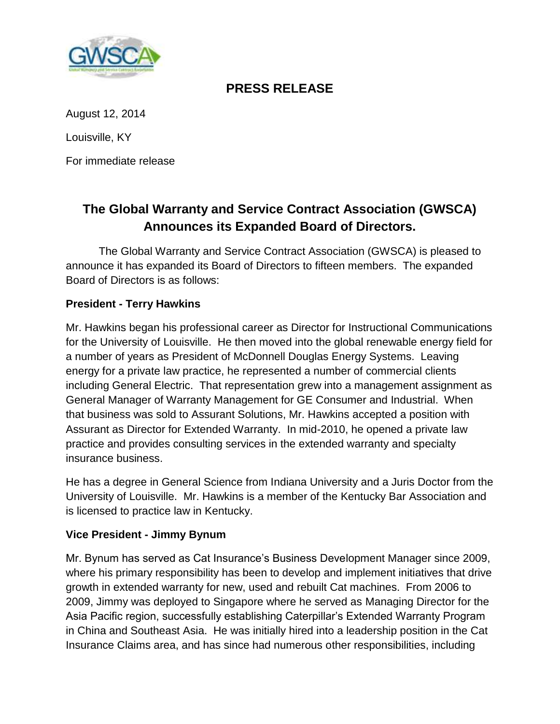

# **PRESS RELEASE**

August 12, 2014

Louisville, KY

For immediate release

# **The Global Warranty and Service Contract Association (GWSCA) Announces its Expanded Board of Directors.**

The Global Warranty and Service Contract Association (GWSCA) is pleased to announce it has expanded its Board of Directors to fifteen members. The expanded Board of Directors is as follows:

# **President - Terry Hawkins**

Mr. Hawkins began his professional career as Director for Instructional Communications for the University of Louisville. He then moved into the global renewable energy field for a number of years as President of McDonnell Douglas Energy Systems. Leaving energy for a private law practice, he represented a number of commercial clients including General Electric. That representation grew into a management assignment as General Manager of Warranty Management for GE Consumer and Industrial. When that business was sold to Assurant Solutions, Mr. Hawkins accepted a position with Assurant as Director for Extended Warranty. In mid-2010, he opened a private law practice and provides consulting services in the extended warranty and specialty insurance business.

He has a degree in General Science from Indiana University and a Juris Doctor from the University of Louisville. Mr. Hawkins is a member of the Kentucky Bar Association and is licensed to practice law in Kentucky.

# **Vice President - Jimmy Bynum**

Mr. Bynum has served as Cat Insurance's Business Development Manager since 2009, where his primary responsibility has been to develop and implement initiatives that drive growth in extended warranty for new, used and rebuilt Cat machines. From 2006 to 2009, Jimmy was deployed to Singapore where he served as Managing Director for the Asia Pacific region, successfully establishing Caterpillar's Extended Warranty Program in China and Southeast Asia. He was initially hired into a leadership position in the Cat Insurance Claims area, and has since had numerous other responsibilities, including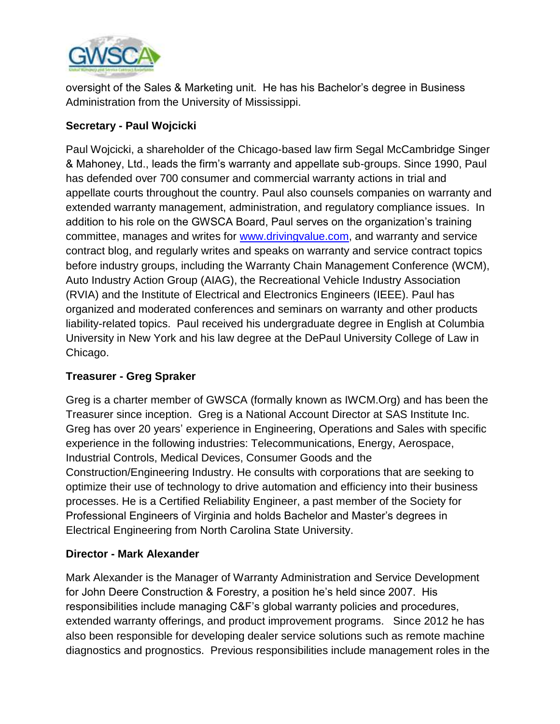

oversight of the Sales & Marketing unit. He has his Bachelor's degree in Business Administration from the University of Mississippi.

# **Secretary - Paul Wojcicki**

Paul Wojcicki, a shareholder of the Chicago-based law firm Segal McCambridge Singer & Mahoney, Ltd., leads the firm's warranty and appellate sub-groups. Since 1990, Paul has defended over 700 consumer and commercial warranty actions in trial and appellate courts throughout the country. Paul also counsels companies on warranty and extended warranty management, administration, and regulatory compliance issues. In addition to his role on the GWSCA Board, Paul serves on the organization's training committee, manages and writes for [www.drivingvalue.com,](http://www.drivingvalue.com/) and warranty and service contract blog, and regularly writes and speaks on warranty and service contract topics before industry groups, including the Warranty Chain Management Conference (WCM), Auto Industry Action Group (AIAG), the Recreational Vehicle Industry Association (RVIA) and the Institute of Electrical and Electronics Engineers (IEEE). Paul has organized and moderated conferences and seminars on warranty and other products liability-related topics. Paul received his undergraduate degree in English at Columbia University in New York and his law degree at the DePaul University College of Law in Chicago.

# **Treasurer - Greg Spraker**

Greg is a charter member of GWSCA (formally known as IWCM.Org) and has been the Treasurer since inception. Greg is a National Account Director at SAS Institute Inc. Greg has over 20 years' experience in Engineering, Operations and Sales with specific experience in the following industries: Telecommunications, Energy, Aerospace, Industrial Controls, Medical Devices, Consumer Goods and the Construction/Engineering Industry. He consults with corporations that are seeking to optimize their use of technology to drive automation and efficiency into their business processes. He is a Certified Reliability Engineer, a past member of the Society for Professional Engineers of Virginia and holds Bachelor and Master's degrees in Electrical Engineering from North Carolina State University.

# **Director - Mark Alexander**

Mark Alexander is the Manager of Warranty Administration and Service Development for John Deere Construction & Forestry, a position he's held since 2007. His responsibilities include managing C&F's global warranty policies and procedures, extended warranty offerings, and product improvement programs. Since 2012 he has also been responsible for developing dealer service solutions such as remote machine diagnostics and prognostics. Previous responsibilities include management roles in the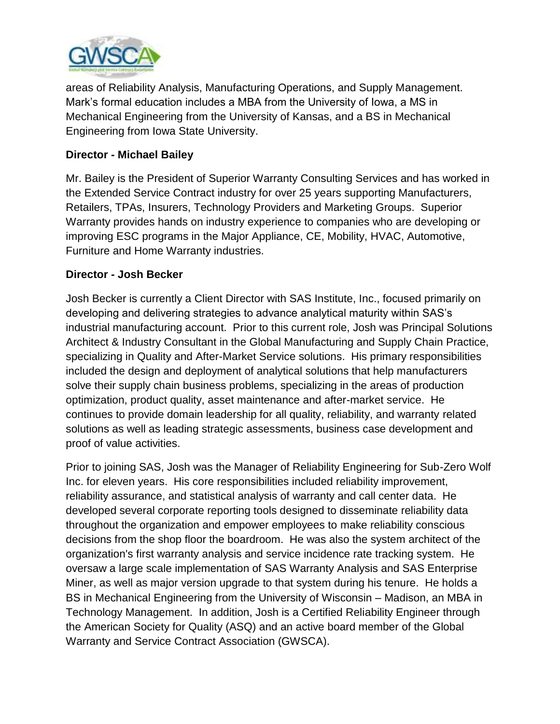

areas of Reliability Analysis, Manufacturing Operations, and Supply Management. Mark's formal education includes a MBA from the University of Iowa, a MS in Mechanical Engineering from the University of Kansas, and a BS in Mechanical Engineering from Iowa State University.

### **Director - Michael Bailey**

Mr. Bailey is the President of Superior Warranty Consulting Services and has worked in the Extended Service Contract industry for over 25 years supporting Manufacturers, Retailers, TPAs, Insurers, Technology Providers and Marketing Groups. Superior Warranty provides hands on industry experience to companies who are developing or improving ESC programs in the Major Appliance, CE, Mobility, HVAC, Automotive, Furniture and Home Warranty industries.

### **Director - Josh Becker**

Josh Becker is currently a Client Director with SAS Institute, Inc., focused primarily on developing and delivering strategies to advance analytical maturity within SAS's industrial manufacturing account. Prior to this current role, Josh was Principal Solutions Architect & Industry Consultant in the Global Manufacturing and Supply Chain Practice, specializing in Quality and After-Market Service solutions. His primary responsibilities included the design and deployment of analytical solutions that help manufacturers solve their supply chain business problems, specializing in the areas of production optimization, product quality, asset maintenance and after-market service. He continues to provide domain leadership for all quality, reliability, and warranty related solutions as well as leading strategic assessments, business case development and proof of value activities.

Prior to joining SAS, Josh was the Manager of Reliability Engineering for Sub-Zero Wolf Inc. for eleven years. His core responsibilities included reliability improvement, reliability assurance, and statistical analysis of warranty and call center data. He developed several corporate reporting tools designed to disseminate reliability data throughout the organization and empower employees to make reliability conscious decisions from the shop floor the boardroom. He was also the system architect of the organization's first warranty analysis and service incidence rate tracking system. He oversaw a large scale implementation of SAS Warranty Analysis and SAS Enterprise Miner, as well as major version upgrade to that system during his tenure. He holds a BS in Mechanical Engineering from the University of Wisconsin – Madison, an MBA in Technology Management. In addition, Josh is a Certified Reliability Engineer through the American Society for Quality (ASQ) and an active board member of the Global Warranty and Service Contract Association (GWSCA).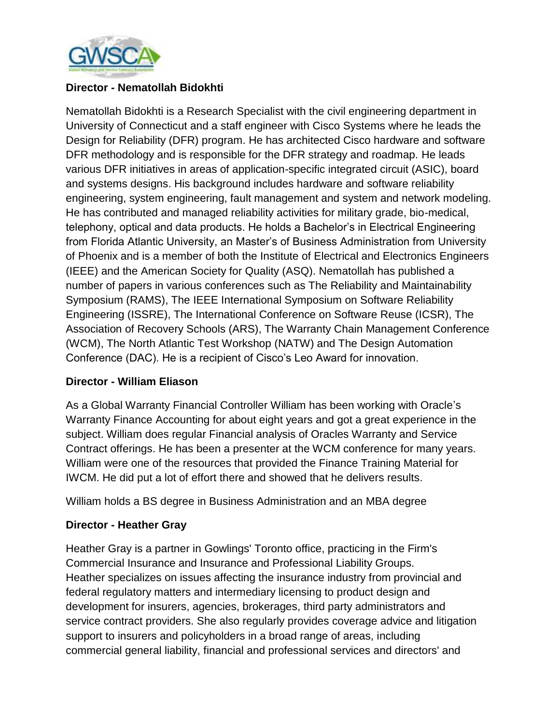

### **Director - Nematollah Bidokhti**

Nematollah Bidokhti is a Research Specialist with the civil engineering department in University of Connecticut and a staff engineer with Cisco Systems where he leads the Design for Reliability (DFR) program. He has architected Cisco hardware and software DFR methodology and is responsible for the DFR strategy and roadmap. He leads various DFR initiatives in areas of application-specific integrated circuit (ASIC), board and systems designs. His background includes hardware and software reliability engineering, system engineering, fault management and system and network modeling. He has contributed and managed reliability activities for military grade, bio-medical, telephony, optical and data products. He holds a Bachelor's in Electrical Engineering from Florida Atlantic University, an Master's of Business Administration from University of Phoenix and is a member of both the Institute of Electrical and Electronics Engineers (IEEE) and the American Society for Quality (ASQ). Nematollah has published a number of papers in various conferences such as The Reliability and Maintainability Symposium (RAMS), The IEEE International Symposium on Software Reliability Engineering (ISSRE), The International Conference on Software Reuse (ICSR), The Association of Recovery Schools (ARS), The Warranty Chain Management Conference (WCM), The North Atlantic Test Workshop (NATW) and The Design Automation Conference (DAC). He is a recipient of Cisco's Leo Award for innovation.

#### **Director - William Eliason**

As a Global Warranty Financial Controller William has been working with Oracle's Warranty Finance Accounting for about eight years and got a great experience in the subject. William does regular Financial analysis of Oracles Warranty and Service Contract offerings. He has been a presenter at the WCM conference for many years. William were one of the resources that provided the Finance Training Material for IWCM. He did put a lot of effort there and showed that he delivers results.

William holds a BS degree in Business Administration and an MBA degree

# **Director - Heather Gray**

Heather Gray is a partner in Gowlings' Toronto office, practicing in the Firm's Commercial Insurance and Insurance and Professional Liability Groups. Heather specializes on issues affecting the insurance industry from provincial and federal regulatory matters and intermediary licensing to product design and development for insurers, agencies, brokerages, third party administrators and service contract providers. She also regularly provides coverage advice and litigation support to insurers and policyholders in a broad range of areas, including commercial general liability, financial and professional services and directors' and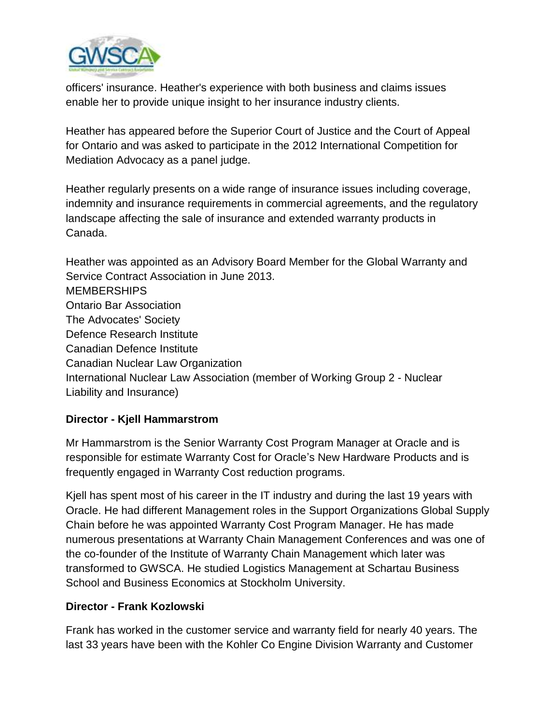

officers' insurance. Heather's experience with both business and claims issues enable her to provide unique insight to her insurance industry clients.

Heather has appeared before the Superior Court of Justice and the Court of Appeal for Ontario and was asked to participate in the 2012 International Competition for Mediation Advocacy as a panel judge.

Heather regularly presents on a wide range of insurance issues including coverage, indemnity and insurance requirements in commercial agreements, and the regulatory landscape affecting the sale of insurance and extended warranty products in Canada.

Heather was appointed as an Advisory Board Member for the Global Warranty and Service Contract Association in June 2013. **MEMBERSHIPS** Ontario Bar Association The Advocates' Society Defence Research Institute Canadian Defence Institute Canadian Nuclear Law Organization International Nuclear Law Association (member of Working Group 2 - Nuclear Liability and Insurance)

# **Director - Kjell Hammarstrom**

Mr Hammarstrom is the Senior Warranty Cost Program Manager at Oracle and is responsible for estimate Warranty Cost for Oracle's New Hardware Products and is frequently engaged in Warranty Cost reduction programs.

Kjell has spent most of his career in the IT industry and during the last 19 years with Oracle. He had different Management roles in the Support Organizations Global Supply Chain before he was appointed Warranty Cost Program Manager. He has made numerous presentations at Warranty Chain Management Conferences and was one of the co-founder of the Institute of Warranty Chain Management which later was transformed to GWSCA. He studied Logistics Management at Schartau Business School and Business Economics at Stockholm University.

# **Director - Frank Kozlowski**

Frank has worked in the customer service and warranty field for nearly 40 years. The last 33 years have been with the Kohler Co Engine Division Warranty and Customer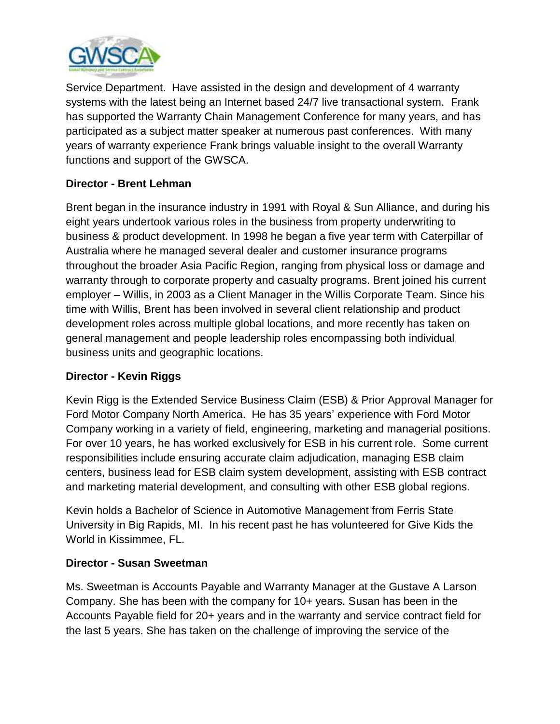

Service Department. Have assisted in the design and development of 4 warranty systems with the latest being an Internet based 24/7 live transactional system. Frank has supported the Warranty Chain Management Conference for many years, and has participated as a subject matter speaker at numerous past conferences. With many years of warranty experience Frank brings valuable insight to the overall Warranty functions and support of the GWSCA.

# **Director - Brent Lehman**

Brent began in the insurance industry in 1991 with Royal & Sun Alliance, and during his eight years undertook various roles in the business from property underwriting to business & product development. In 1998 he began a five year term with Caterpillar of Australia where he managed several dealer and customer insurance programs throughout the broader Asia Pacific Region, ranging from physical loss or damage and warranty through to corporate property and casualty programs. Brent joined his current employer – Willis, in 2003 as a Client Manager in the Willis Corporate Team. Since his time with Willis, Brent has been involved in several client relationship and product development roles across multiple global locations, and more recently has taken on general management and people leadership roles encompassing both individual business units and geographic locations.

# **Director - Kevin Riggs**

Kevin Rigg is the Extended Service Business Claim (ESB) & Prior Approval Manager for Ford Motor Company North America. He has 35 years' experience with Ford Motor Company working in a variety of field, engineering, marketing and managerial positions. For over 10 years, he has worked exclusively for ESB in his current role. Some current responsibilities include ensuring accurate claim adjudication, managing ESB claim centers, business lead for ESB claim system development, assisting with ESB contract and marketing material development, and consulting with other ESB global regions.

Kevin holds a Bachelor of Science in Automotive Management from Ferris State University in Big Rapids, MI. In his recent past he has volunteered for Give Kids the World in Kissimmee, FL.

# **Director - Susan Sweetman**

Ms. Sweetman is Accounts Payable and Warranty Manager at the Gustave A Larson Company. She has been with the company for 10+ years. Susan has been in the Accounts Payable field for 20+ years and in the warranty and service contract field for the last 5 years. She has taken on the challenge of improving the service of the